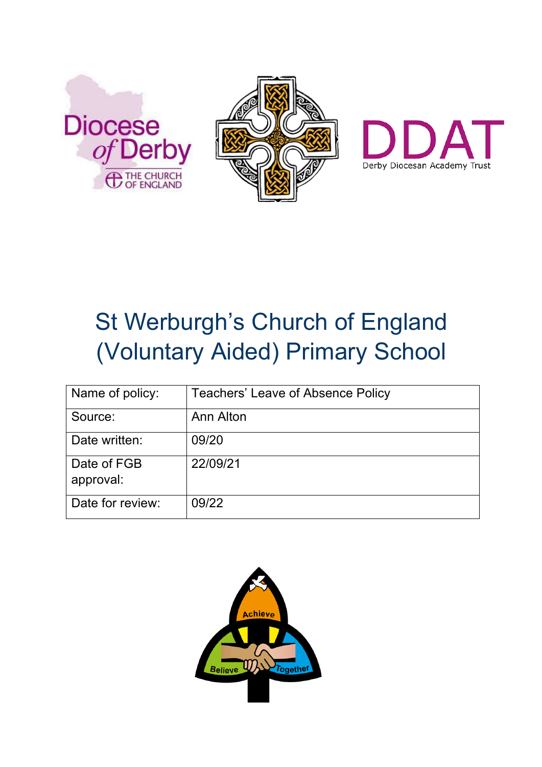





# St Werburgh's Church of England (Voluntary Aided) Primary School

| Name of policy:          | <b>Teachers' Leave of Absence Policy</b> |
|--------------------------|------------------------------------------|
| Source:                  | Ann Alton                                |
| Date written:            | 09/20                                    |
| Date of FGB<br>approval: | 22/09/21                                 |
| Date for review:         | 09/22                                    |

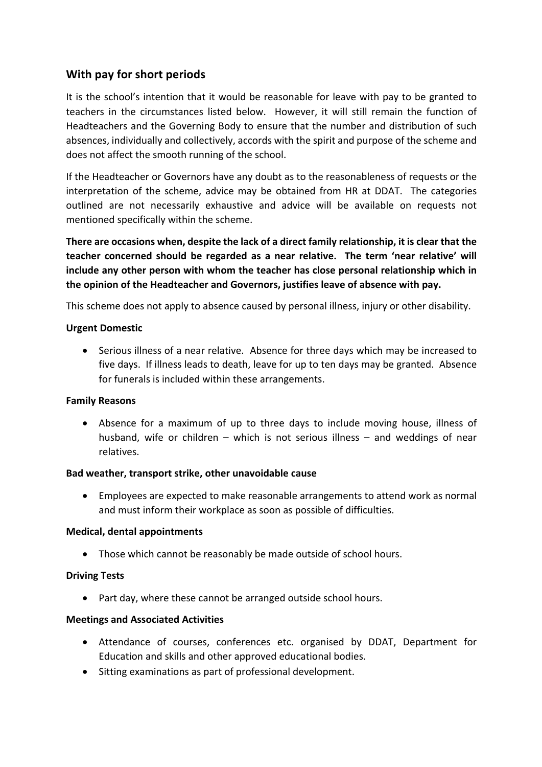# **With pay for short periods**

It is the school's intention that it would be reasonable for leave with pay to be granted to teachers in the circumstances listed below. However, it will still remain the function of Headteachers and the Governing Body to ensure that the number and distribution of such absences, individually and collectively, accords with the spirit and purpose of the scheme and does not affect the smooth running of the school.

If the Headteacher or Governors have any doubt as to the reasonableness of requests or the interpretation of the scheme, advice may be obtained from HR at DDAT. The categories outlined are not necessarily exhaustive and advice will be available on requests not mentioned specifically within the scheme.

**There are occasions when, despite the lack of a direct family relationship, it is clear that the teacher concerned should be regarded as a near relative. The term 'near relative' will include any other person with whom the teacher has close personal relationship which in the opinion of the Headteacher and Governors, justifies leave of absence with pay.**

This scheme does not apply to absence caused by personal illness, injury or other disability.

#### **Urgent Domestic**

• Serious illness of a near relative. Absence for three days which may be increased to five days. If illness leads to death, leave for up to ten days may be granted. Absence for funerals is included within these arrangements.

## **Family Reasons**

• Absence for a maximum of up to three days to include moving house, illness of husband, wife or children – which is not serious illness – and weddings of near relatives.

#### **Bad weather, transport strike, other unavoidable cause**

• Employees are expected to make reasonable arrangements to attend work as normal and must inform their workplace as soon as possible of difficulties.

#### **Medical, dental appointments**

• Those which cannot be reasonably be made outside of school hours.

## **Driving Tests**

• Part day, where these cannot be arranged outside school hours.

## **Meetings and Associated Activities**

- Attendance of courses, conferences etc. organised by DDAT, Department for Education and skills and other approved educational bodies.
- Sitting examinations as part of professional development.